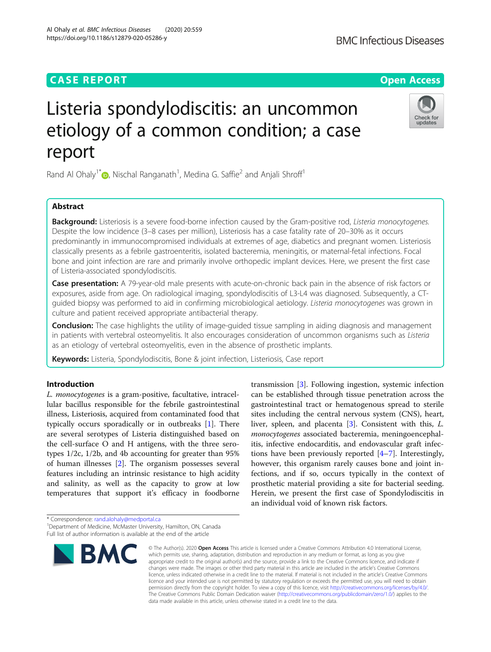# **CASE REPORT CASE ACCESS**

# Listeria spondylodiscitis: an uncommon etiology of a common condition; a case report

Rand Al Ohaly<sup>1\*</sup> $\circledast$ [,](http://orcid.org/0000-0002-6225-2022) Nischal Ranganath<sup>1</sup>, Medina G. Saffie<sup>2</sup> and Anjali Shroff<sup>1</sup>

# Abstract

Background: Listeriosis is a severe food-borne infection caused by the Gram-positive rod, Listeria monocytogenes. Despite the low incidence (3–8 cases per million), Listeriosis has a case fatality rate of 20–30% as it occurs predominantly in immunocompromised individuals at extremes of age, diabetics and pregnant women. Listeriosis classically presents as a febrile gastroenteritis, isolated bacteremia, meningitis, or maternal-fetal infections. Focal bone and joint infection are rare and primarily involve orthopedic implant devices. Here, we present the first case of Listeria-associated spondylodiscitis.

Case presentation: A 79-year-old male presents with acute-on-chronic back pain in the absence of risk factors or exposures, aside from age. On radiological imaging, spondylodiscitis of L3-L4 was diagnosed. Subsequently, a CTguided biopsy was performed to aid in confirming microbiological aetiology. Listeria monocytogenes was grown in culture and patient received appropriate antibacterial therapy.

**Conclusion:** The case highlights the utility of image-guided tissue sampling in aiding diagnosis and management in patients with vertebral osteomyelitis. It also encourages consideration of uncommon organisms such as Listeria as an etiology of vertebral osteomyelitis, even in the absence of prosthetic implants.

Keywords: Listeria, Spondylodiscitis, Bone & joint infection, Listeriosis, Case report

# Introduction

L. monocytogenes is a gram-positive, facultative, intracellular bacillus responsible for the febrile gastrointestinal illness, Listeriosis, acquired from contaminated food that typically occurs sporadically or in outbreaks [[1](#page-3-0)]. There are several serotypes of Listeria distinguished based on the cell-surface O and H antigens, with the three serotypes 1/2c, 1/2b, and 4b accounting for greater than 95% of human illnesses [[2\]](#page-3-0). The organism possesses several features including an intrinsic resistance to high acidity and salinity, as well as the capacity to grow at low temperatures that support it's efficacy in foodborne

transmission [[3](#page-3-0)]. Following ingestion, systemic infection can be established through tissue penetration across the gastrointestinal tract or hematogenous spread to sterile sites including the central nervous system (CNS), heart, liver, spleen, and placenta [[3](#page-3-0)]. Consistent with this, L. monocytogenes associated bacteremia, meningoencephalitis, infective endocarditis, and endovascular graft infections have been previously reported [[4](#page-3-0)–[7\]](#page-3-0). Interestingly, however, this organism rarely causes bone and joint infections, and if so, occurs typically in the context of prosthetic material providing a site for bacterial seeding. Herein, we present the first case of Spondylodiscitis in an individual void of known risk factors.

\* Correspondence: [rand.alohaly@medportal.ca](mailto:rand.alohaly@medportal.ca) <sup>1</sup>



<sup>©</sup> The Author(s), 2020 **Open Access** This article is licensed under a Creative Commons Attribution 4.0 International License, which permits use, sharing, adaptation, distribution and reproduction in any medium or format, as long as you give appropriate credit to the original author(s) and the source, provide a link to the Creative Commons licence, and indicate if changes were made. The images or other third party material in this article are included in the article's Creative Commons licence, unless indicated otherwise in a credit line to the material. If material is not included in the article's Creative Commons licence and your intended use is not permitted by statutory regulation or exceeds the permitted use, you will need to obtain permission directly from the copyright holder. To view a copy of this licence, visit [http://creativecommons.org/licenses/by/4.0/.](http://creativecommons.org/licenses/by/4.0/) The Creative Commons Public Domain Dedication waiver [\(http://creativecommons.org/publicdomain/zero/1.0/](http://creativecommons.org/publicdomain/zero/1.0/)) applies to the data made available in this article, unless otherwise stated in a credit line to the data.



updates



<sup>&</sup>lt;sup>1</sup>Department of Medicine, McMaster University, Hamilton, ON, Canada Full list of author information is available at the end of the article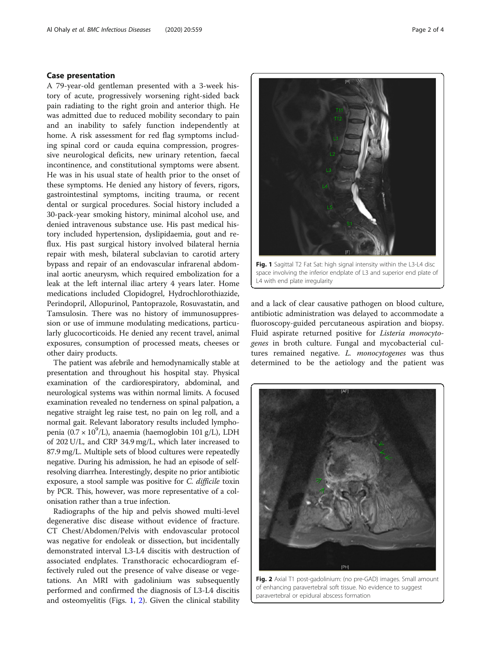# Case presentation

A 79-year-old gentleman presented with a 3-week history of acute, progressively worsening right-sided back pain radiating to the right groin and anterior thigh. He was admitted due to reduced mobility secondary to pain and an inability to safely function independently at home. A risk assessment for red flag symptoms including spinal cord or cauda equina compression, progressive neurological deficits, new urinary retention, faecal incontinence, and constitutional symptoms were absent. He was in his usual state of health prior to the onset of these symptoms. He denied any history of fevers, rigors, gastrointestinal symptoms, inciting trauma, or recent dental or surgical procedures. Social history included a 30-pack-year smoking history, minimal alcohol use, and denied intravenous substance use. His past medical history included hypertension, dyslipidaemia, gout and reflux. His past surgical history involved bilateral hernia repair with mesh, bilateral subclavian to carotid artery bypass and repair of an endovascular infrarenal abdominal aortic aneurysm, which required embolization for a leak at the left internal iliac artery 4 years later. Home medications included Clopidogrel, Hydrochlorothiazide, Perindopril, Allopurinol, Pantoprazole, Rosuvastatin, and Tamsulosin. There was no history of immunosuppression or use of immune modulating medications, particularly glucocorticoids. He denied any recent travel, animal exposures, consumption of processed meats, cheeses or other dairy products.

The patient was afebrile and hemodynamically stable at presentation and throughout his hospital stay. Physical examination of the cardiorespiratory, abdominal, and neurological systems was within normal limits. A focused examination revealed no tenderness on spinal palpation, a negative straight leg raise test, no pain on leg roll, and a normal gait. Relevant laboratory results included lymphopenia (0.7 × 10<sup>9</sup>/L), anaemia (haemoglobin 101 g/L), LDH of 202 U/L, and CRP 34.9 mg/L, which later increased to 87.9 mg/L. Multiple sets of blood cultures were repeatedly negative. During his admission, he had an episode of selfresolving diarrhea. Interestingly, despite no prior antibiotic exposure, a stool sample was positive for C. difficile toxin by PCR. This, however, was more representative of a colonisation rather than a true infection.

Radiographs of the hip and pelvis showed multi-level degenerative disc disease without evidence of fracture. CT Chest/Abdomen/Pelvis with endovascular protocol was negative for endoleak or dissection, but incidentally demonstrated interval L3-L4 discitis with destruction of associated endplates. Transthoracic echocardiogram effectively ruled out the presence of valve disease or vegetations. An MRI with gadolinium was subsequently performed and confirmed the diagnosis of L3-L4 discitis and osteomyelitis (Figs. 1, 2). Given the clinical stability



Fig. 1 Sagittal T2 Fat Sat: high signal intensity within the L3-L4 disc space involving the inferior endplate of L3 and superior end plate of L4 with end plate irregularity

and a lack of clear causative pathogen on blood culture, antibiotic administration was delayed to accommodate a fluoroscopy-guided percutaneous aspiration and biopsy. Fluid aspirate returned positive for Listeria monocytogenes in broth culture. Fungal and mycobacterial cultures remained negative. L. monocytogenes was thus determined to be the aetiology and the patient was



Fig. 2 Axial T1 post-gadolinium: (no pre-GAD) images. Small amount of enhancing paravertebral soft tissue. No evidence to suggest paravertebral or epidural abscess formation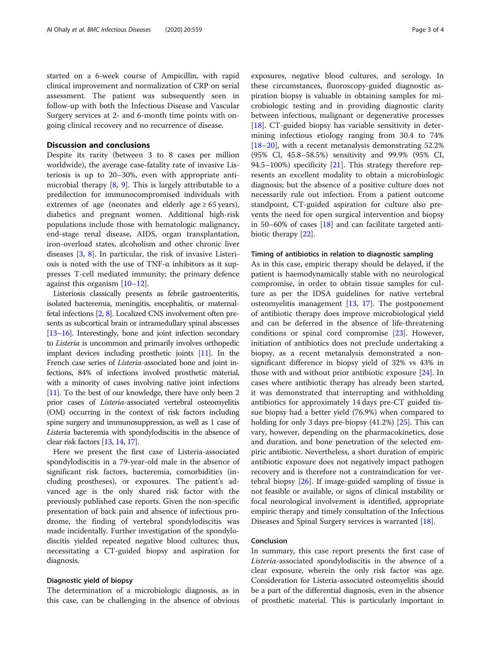started on a 6-week course of Ampicillin, with rapid clinical improvement and normalization of CRP on serial assessment. The patient was subsequently seen in follow-up with both the Infectious Disease and Vascular Surgery services at 2- and 6-month time points with ongoing clinical recovery and no recurrence of disease.

## Discussion and conclusions

Despite its rarity (between 3 to 8 cases per million worldwide), the average case-fatality rate of invasive Listeriosis is up to 20–30%, even with appropriate antimicrobial therapy  $[8, 9]$  $[8, 9]$  $[8, 9]$  $[8, 9]$ . This is largely attributable to a predilection for immunocompromised individuals with extremes of age (neonates and elderly age  $\geq 65$  years), diabetics and pregnant women. Additional high-risk populations include those with hematologic malignancy, end-stage renal disease, AIDS, organ transplantation, iron-overload states, alcoholism and other chronic liver diseases [[3,](#page-3-0) [8\]](#page-3-0). In particular, the risk of invasive Listeriosis is noted with the use of TNF- $\alpha$  inhibitors as it suppresses T-cell mediated immunity; the primary defence against this organism [[10](#page-3-0)–[12](#page-3-0)].

Listeriosis classically presents as febrile gastroenteritis, isolated bacteremia, meningitis, encephalitis, or maternalfetal infections [\[2,](#page-3-0) [8\]](#page-3-0). Localized CNS involvement often presents as subcortical brain or intramedullary spinal abscesses [[13](#page-3-0)–[16](#page-3-0)]. Interestingly, bone and joint infection secondary to Listeria is uncommon and primarily involves orthopedic implant devices including prosthetic joints [[11](#page-3-0)]. In the French case series of Listeria-associated bone and joint infections, 84% of infections involved prosthetic material, with a minority of cases involving native joint infections [[11](#page-3-0)]. To the best of our knowledge, there have only been 2 prior cases of Listeria-associated vertebral osteomyelitis (OM) occurring in the context of risk factors including spine surgery and immunosuppression, as well as 1 case of Listeria bacteremia with spondylodiscitis in the absence of clear risk factors [\[13,](#page-3-0) [14,](#page-3-0) [17\]](#page-3-0).

Here we present the first case of Listeria-associated spondylodiscitis in a 79-year-old male in the absence of significant risk factors, bacteremia, comorbidities (including prostheses), or exposures. The patient's advanced age is the only shared risk factor with the previously published case reports. Given the non-specific presentation of back pain and absence of infectious prodrome, the finding of vertebral spondylodiscitis was made incidentally. Further investigation of the spondylodiscitis yielded repeated negative blood cultures; thus, necessitating a CT-guided biopsy and aspiration for diagnosis.

# Diagnostic yield of biopsy

The determination of a microbiologic diagnosis, as in this case, can be challenging in the absence of obvious

exposures, negative blood cultures, and serology. In these circumstances, fluoroscopy-guided diagnostic aspiration biopsy is valuable in obtaining samples for microbiologic testing and in providing diagnostic clarity between infectious, malignant or degenerative processes [[18\]](#page-3-0). CT-guided biopsy has variable sensitivity in determining infectious etiology ranging from 30.4 to 74%  $[18–20]$  $[18–20]$  $[18–20]$  $[18–20]$  $[18–20]$ , with a recent metanalysis demonstrating 52.2% (95% CI, 45.8–58.5%) sensitivity and 99.9% (95% CI, 94.5–100%) specificity [[21\]](#page-3-0). This strategy therefore represents an excellent modality to obtain a microbiologic diagnosis; but the absence of a positive culture does not necessarily rule out infection. From a patient outcome standpoint, CT-guided aspiration for culture also prevents the need for open surgical intervention and biopsy in 50–60% of cases [[18](#page-3-0)] and can facilitate targeted antibiotic therapy [\[22](#page-3-0)].

### Timing of antibiotics in relation to diagnostic sampling

As in this case, empiric therapy should be delayed, if the patient is haemodynamically stable with no neurological compromise, in order to obtain tissue samples for culture as per the IDSA guidelines for native vertebral osteomyelitis management [[13,](#page-3-0) [17](#page-3-0)]. The postponement of antibiotic therapy does improve microbiological yield and can be deferred in the absence of life-threatening conditions or spinal cord compromise [\[23](#page-3-0)]. However, initiation of antibiotics does not preclude undertaking a biopsy, as a recent metanalysis demonstrated a nonsignificant difference in biopsy yield of 32% vs 43% in those with and without prior antibiotic exposure [[24](#page-3-0)]. In cases where antibiotic therapy has already been started, it was demonstrated that interrupting and withholding antibiotics for approximately 14 days pre-CT guided tissue biopsy had a better yield (76.9%) when compared to holding for only 3 days pre-biopsy (41.2%) [[25\]](#page-3-0). This can vary, however, depending on the pharmacokinetics, dose and duration, and bone penetration of the selected empiric antibiotic. Nevertheless, a short duration of empiric antibiotic exposure does not negatively impact pathogen recovery and is therefore not a contraindication for vertebral biopsy [\[26\]](#page-3-0). If image-guided sampling of tissue is not feasible or available, or signs of clinical instability or focal neurological involvement is identified, appropriate empiric therapy and timely consultation of the Infectious Diseases and Spinal Surgery services is warranted [\[18\]](#page-3-0).

# Conclusion

In summary, this case report presents the first case of Listeria-associated spondylodiscitis in the absence of a clear exposure, wherein the only risk factor was age. Consideration for Listeria-associated osteomyelitis should be a part of the differential diagnosis, even in the absence of prosthetic material. This is particularly important in